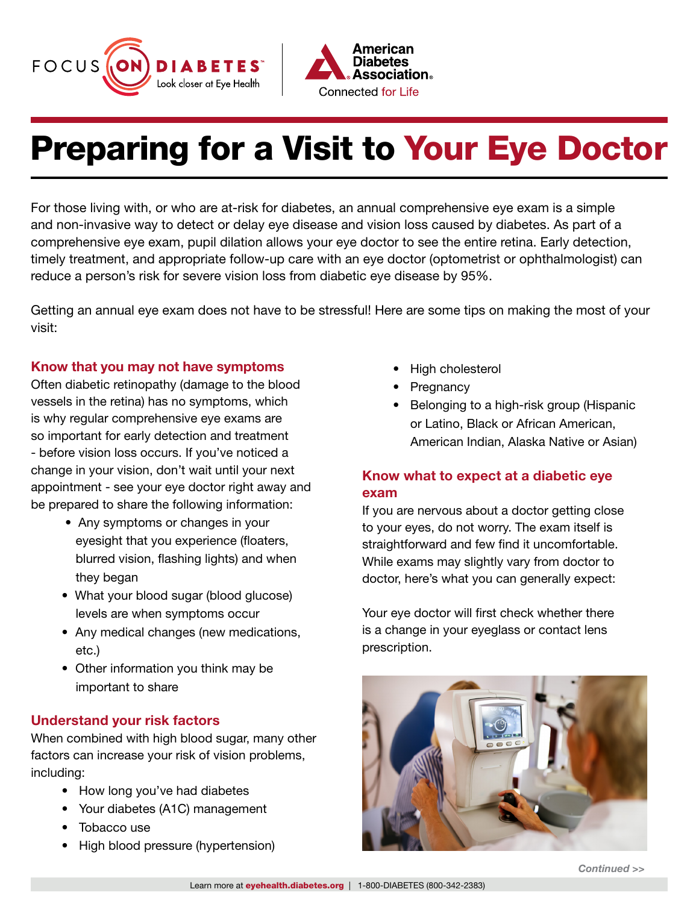



# Preparing for a Visit to Your Eye Doctor

For those living with, or who are at-risk for diabetes, an annual comprehensive eye exam is a simple and non-invasive way to detect or delay eye disease and vision loss caused by diabetes. As part of a comprehensive eye exam, pupil dilation allows your eye doctor to see the entire retina. Early detection, timely treatment, and appropriate follow-up care with an eye doctor (optometrist or ophthalmologist) can reduce a person's risk for severe vision loss from diabetic eye disease by 95%.

Getting an annual eye exam does not have to be stressful! Here are some tips on making the most of your visit:

### Know that you may not have symptoms

Often diabetic retinopathy (damage to the blood vessels in the retina) has no symptoms, which is why regular comprehensive eye exams are so important for early detection and treatment - before vision loss occurs. If you've noticed a change in your vision, don't wait until your next appointment - see your eye doctor right away and be prepared to share the following information:

- Any symptoms or changes in your eyesight that you experience (floaters, blurred vision, flashing lights) and when they began
- What your blood sugar (blood glucose) levels are when symptoms occur
- Any medical changes (new medications, etc.)
- Other information you think may be important to share

### Understand your risk factors

When combined with high blood sugar, many other factors can increase your risk of vision problems, including:

- How long you've had diabetes
- Your diabetes (A1C) management
- Tobacco use
- High blood pressure (hypertension)
- High cholesterol
- Pregnancy
- Belonging to a high-risk group (Hispanic or Latino, Black or African American, American Indian, Alaska Native or Asian)

## Know what to expect at a diabetic eye exam

If you are nervous about a doctor getting close to your eyes, do not worry. The exam itself is straightforward and few find it uncomfortable. While exams may slightly vary from doctor to doctor, here's what you can generally expect:

Your eye doctor will first check whether there is a change in your eyeglass or contact lens prescription.